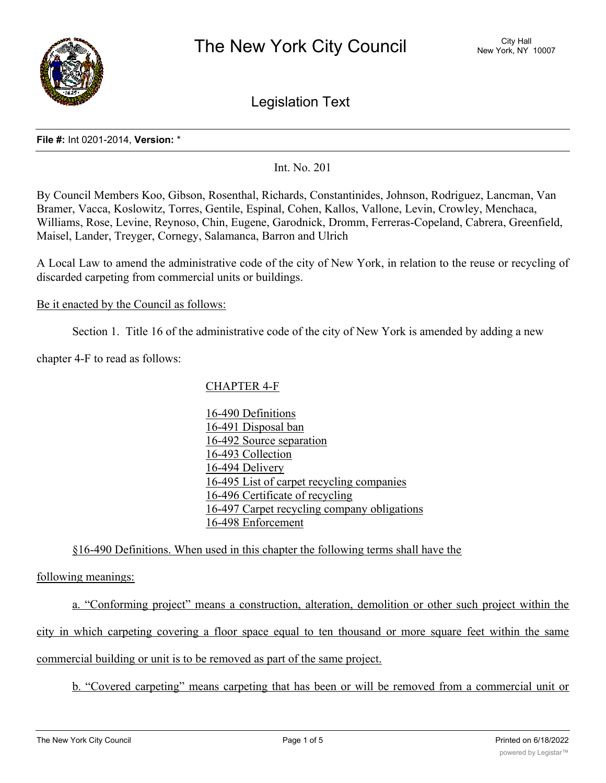

Legislation Text

#### **File #:** Int 0201-2014, **Version:** \*

Int. No. 201

By Council Members Koo, Gibson, Rosenthal, Richards, Constantinides, Johnson, Rodriguez, Lancman, Van Bramer, Vacca, Koslowitz, Torres, Gentile, Espinal, Cohen, Kallos, Vallone, Levin, Crowley, Menchaca, Williams, Rose, Levine, Reynoso, Chin, Eugene, Garodnick, Dromm, Ferreras-Copeland, Cabrera, Greenfield, Maisel, Lander, Treyger, Cornegy, Salamanca, Barron and Ulrich

A Local Law to amend the administrative code of the city of New York, in relation to the reuse or recycling of discarded carpeting from commercial units or buildings.

### Be it enacted by the Council as follows:

Section 1. Title 16 of the administrative code of the city of New York is amended by adding a new

chapter 4-F to read as follows:

# CHAPTER 4-F

16-490 Definitions 16-491 Disposal ban 16-492 Source separation 16-493 Collection 16-494 Delivery 16-495 List of carpet recycling companies 16-496 Certificate of recycling 16-497 Carpet recycling company obligations 16-498 Enforcement

# §16-490 Definitions. When used in this chapter the following terms shall have the

following meanings:

a. "Conforming project" means a construction, alteration, demolition or other such project within the city in which carpeting covering a floor space equal to ten thousand or more square feet within the same commercial building or unit is to be removed as part of the same project.

b. "Covered carpeting" means carpeting that has been or will be removed from a commercial unit or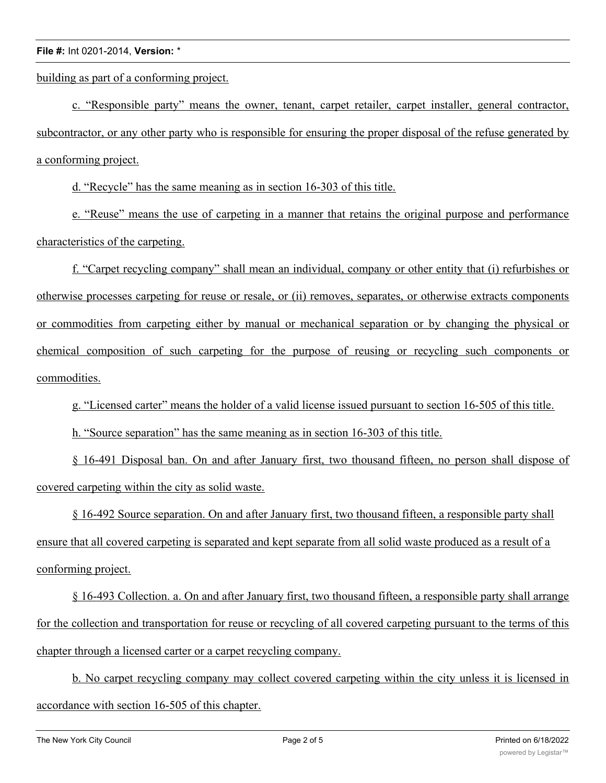building as part of a conforming project.

c. "Responsible party" means the owner, tenant, carpet retailer, carpet installer, general contractor, subcontractor, or any other party who is responsible for ensuring the proper disposal of the refuse generated by a conforming project.

d. "Recycle" has the same meaning as in section 16-303 of this title.

e. "Reuse" means the use of carpeting in a manner that retains the original purpose and performance characteristics of the carpeting.

f. "Carpet recycling company" shall mean an individual, company or other entity that (i) refurbishes or otherwise processes carpeting for reuse or resale, or (ii) removes, separates, or otherwise extracts components or commodities from carpeting either by manual or mechanical separation or by changing the physical or chemical composition of such carpeting for the purpose of reusing or recycling such components or commodities.

g. "Licensed carter" means the holder of a valid license issued pursuant to section 16-505 of this title.

h. "Source separation" has the same meaning as in section 16-303 of this title.

§ 16-491 Disposal ban. On and after January first, two thousand fifteen, no person shall dispose of covered carpeting within the city as solid waste.

§ 16-492 Source separation. On and after January first, two thousand fifteen, a responsible party shall ensure that all covered carpeting is separated and kept separate from all solid waste produced as a result of a conforming project.

§ 16-493 Collection. a. On and after January first, two thousand fifteen, a responsible party shall arrange for the collection and transportation for reuse or recycling of all covered carpeting pursuant to the terms of this chapter through a licensed carter or a carpet recycling company.

b. No carpet recycling company may collect covered carpeting within the city unless it is licensed in accordance with section 16-505 of this chapter.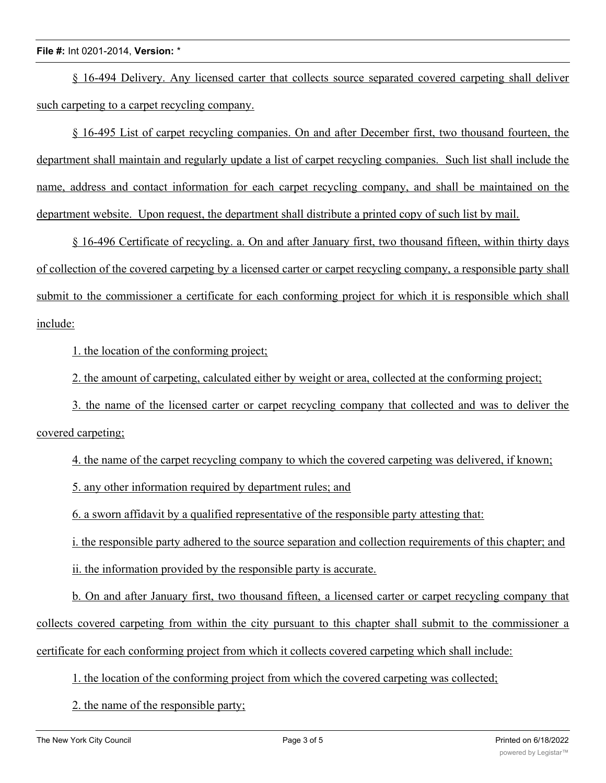### **File #:** Int 0201-2014, **Version:** \*

§ 16-494 Delivery. Any licensed carter that collects source separated covered carpeting shall deliver such carpeting to a carpet recycling company.

§ 16-495 List of carpet recycling companies. On and after December first, two thousand fourteen, the department shall maintain and regularly update a list of carpet recycling companies. Such list shall include the name, address and contact information for each carpet recycling company, and shall be maintained on the department website. Upon request, the department shall distribute a printed copy of such list by mail.

§ 16-496 Certificate of recycling. a. On and after January first, two thousand fifteen, within thirty days of collection of the covered carpeting by a licensed carter or carpet recycling company, a responsible party shall submit to the commissioner a certificate for each conforming project for which it is responsible which shall include:

1. the location of the conforming project;

2. the amount of carpeting, calculated either by weight or area, collected at the conforming project;

3. the name of the licensed carter or carpet recycling company that collected and was to deliver the covered carpeting;

4. the name of the carpet recycling company to which the covered carpeting was delivered, if known;

5. any other information required by department rules; and

6. a sworn affidavit by a qualified representative of the responsible party attesting that:

i. the responsible party adhered to the source separation and collection requirements of this chapter; and

ii. the information provided by the responsible party is accurate.

b. On and after January first, two thousand fifteen, a licensed carter or carpet recycling company that collects covered carpeting from within the city pursuant to this chapter shall submit to the commissioner a certificate for each conforming project from which it collects covered carpeting which shall include:

1. the location of the conforming project from which the covered carpeting was collected;

2. the name of the responsible party;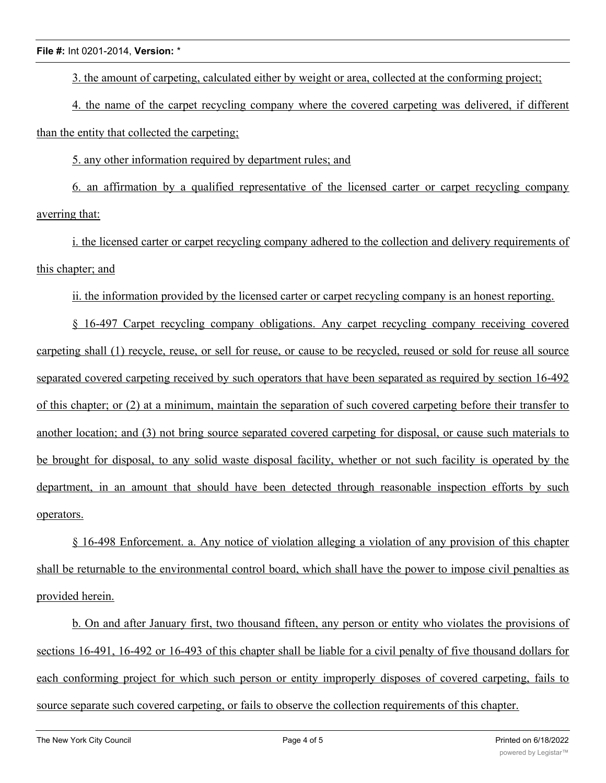### **File #:** Int 0201-2014, **Version:** \*

3. the amount of carpeting, calculated either by weight or area, collected at the conforming project;

4. the name of the carpet recycling company where the covered carpeting was delivered, if different than the entity that collected the carpeting;

5. any other information required by department rules; and

6. an affirmation by a qualified representative of the licensed carter or carpet recycling company averring that:

i. the licensed carter or carpet recycling company adhered to the collection and delivery requirements of this chapter; and

ii. the information provided by the licensed carter or carpet recycling company is an honest reporting.

§ 16-497 Carpet recycling company obligations. Any carpet recycling company receiving covered carpeting shall (1) recycle, reuse, or sell for reuse, or cause to be recycled, reused or sold for reuse all source separated covered carpeting received by such operators that have been separated as required by section 16-492 of this chapter; or (2) at a minimum, maintain the separation of such covered carpeting before their transfer to another location; and (3) not bring source separated covered carpeting for disposal, or cause such materials to be brought for disposal, to any solid waste disposal facility, whether or not such facility is operated by the department, in an amount that should have been detected through reasonable inspection efforts by such operators.

§ 16-498 Enforcement. a. Any notice of violation alleging a violation of any provision of this chapter shall be returnable to the environmental control board, which shall have the power to impose civil penalties as provided herein.

b. On and after January first, two thousand fifteen, any person or entity who violates the provisions of sections 16-491, 16-492 or 16-493 of this chapter shall be liable for a civil penalty of five thousand dollars for each conforming project for which such person or entity improperly disposes of covered carpeting, fails to source separate such covered carpeting, or fails to observe the collection requirements of this chapter.